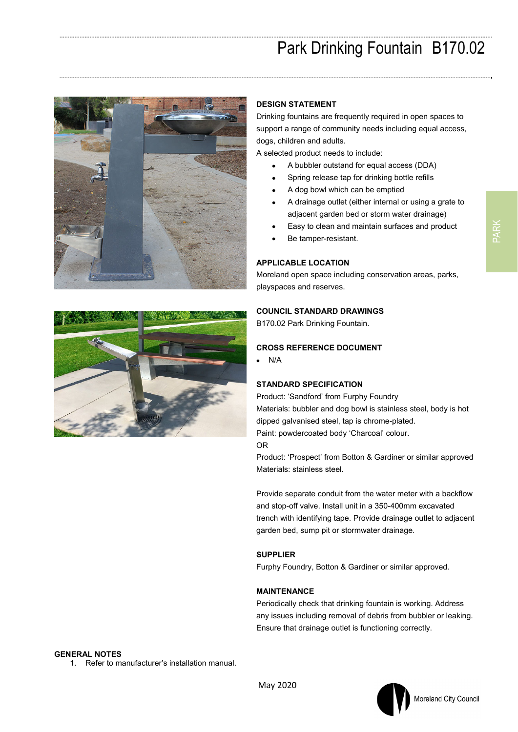# Park Drinking Fountain B170.02





#### **DESIGN STATEMENT**

Drinking fountains are frequently required in open spaces to support a range of community needs including equal access, dogs, children and adults.

A selected product needs to include:

- A bubbler outstand for equal access (DDA)
- Spring release tap for drinking bottle refills
- A dog bowl which can be emptied
- A drainage outlet (either internal or using a grate to adjacent garden bed or storm water drainage)
- Easy to clean and maintain surfaces and product
- Be tamper-resistant.

# **APPLICABLE LOCATION**

Moreland open space including conservation areas, parks, playspaces and reserves.

## **COUNCIL STANDARD DRAWINGS**

B170.02 Park Drinking Fountain.

## **CROSS REFERENCE DOCUMENT**

 $\bullet$  N/A

#### **STANDARD SPECIFICATION**

Product: 'Sandford' from Furphy Foundry Materials: bubbler and dog bowl is stainless steel, body is hot dipped galvanised steel, tap is chrome-plated. Paint: powdercoated body 'Charcoal' colour. OR

Product: 'Prospect' from Botton & Gardiner or similar approved Materials: stainless steel.

Provide separate conduit from the water meter with a backflow and stop-off valve. Install unit in a 350-400mm excavated trench with identifying tape. Provide drainage outlet to adjacent garden bed, sump pit or stormwater drainage.

#### **SUPPLIER**

Furphy Foundry, Botton & Gardiner or similar approved.

## **MAINTENANCE**

Periodically check that drinking fountain is working. Address any issues including removal of debris from bubbler or leaking. Ensure that drainage outlet is functioning correctly.

## **GENERAL NOTES**

1. Refer to manufacturer's installation manual.

Moreland City Council